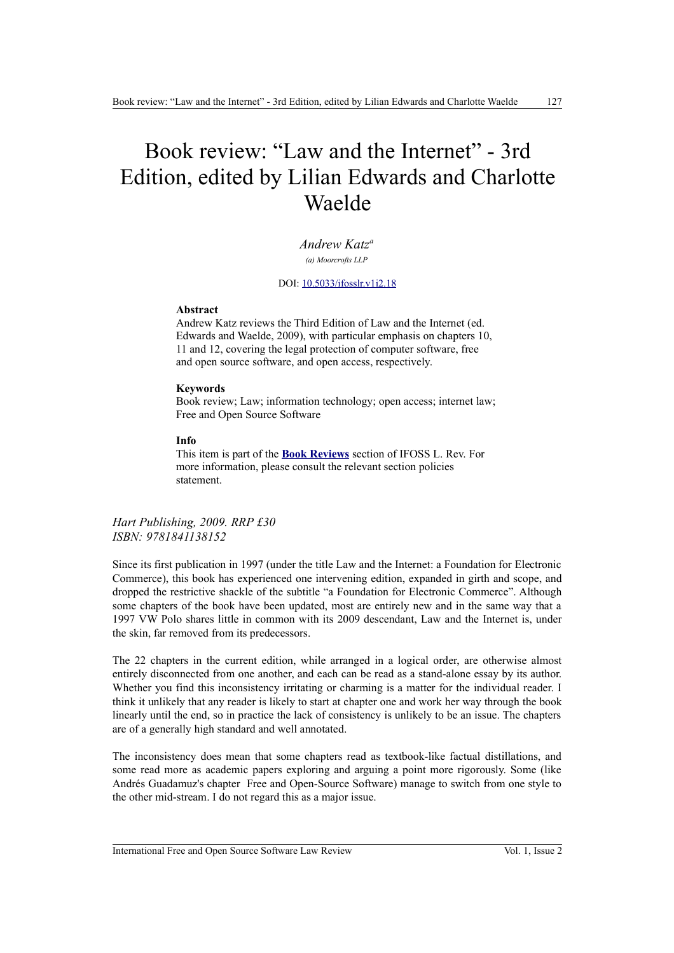## Book review: "Law and the Internet" - 3rd Edition, edited by Lilian Edwards and Charlotte Waelde

*Andrew Katz<sup>a</sup> (a) Moorcrofts LLP*

DOI: [10.5033/ifosslr.v1i2.18](http://dx.doi.org/10.5033/ifosslr.v1i2.18)

## **Abstract**

Andrew Katz reviews the Third Edition of Law and the Internet (ed. Edwards and Waelde, 2009), with particular emphasis on chapters 10, 11 and 12, covering the legal protection of computer software, free and open source software, and open access, respectively.

## **Keywords**

Book review; Law; information technology; open access; internet law; Free and Open Source Software

## **Info**

This item is part of the **[Book Reviews](http://www.ifosslr.org/ifosslr/about/editorialPolicies#sectionPolicies)** section of IFOSS L. Rev. For more information, please consult the relevant section policies statement.

*Hart Publishing, 2009. RRP £30 ISBN: 9781841138152*

Since its first publication in 1997 (under the title Law and the Internet: a Foundation for Electronic Commerce), this book has experienced one intervening edition, expanded in girth and scope, and dropped the restrictive shackle of the subtitle "a Foundation for Electronic Commerce". Although some chapters of the book have been updated, most are entirely new and in the same way that a 1997 VW Polo shares little in common with its 2009 descendant, Law and the Internet is, under the skin, far removed from its predecessors.

The 22 chapters in the current edition, while arranged in a logical order, are otherwise almost entirely disconnected from one another, and each can be read as a stand-alone essay by its author. Whether you find this inconsistency irritating or charming is a matter for the individual reader. I think it unlikely that any reader is likely to start at chapter one and work her way through the book linearly until the end, so in practice the lack of consistency is unlikely to be an issue. The chapters are of a generally high standard and well annotated.

The inconsistency does mean that some chapters read as textbook-like factual distillations, and some read more as academic papers exploring and arguing a point more rigorously. Some (like Andrés Guadamuz's chapter Free and Open-Source Software) manage to switch from one style to the other mid-stream. I do not regard this as a major issue.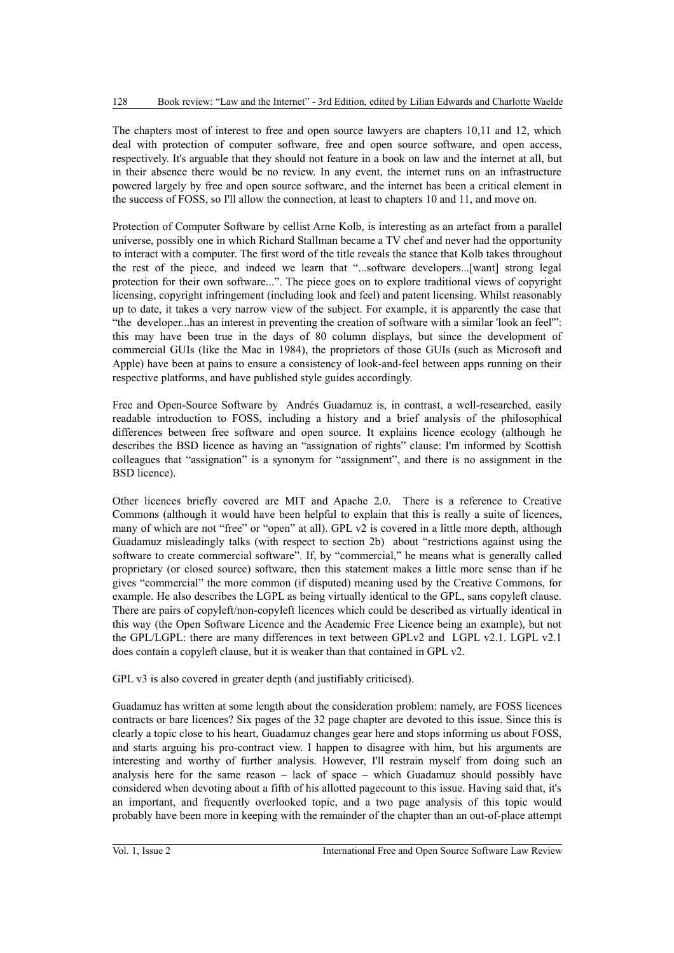The chapters most of interest to free and open source lawyers are chapters 10,11 and 12, which deal with protection of computer software, free and open source software, and open access, respectively. It's arguable that they should not feature in a book on law and the internet at all, but in their absence there would be no review. In any event, the internet runs on an infrastructure powered largely by free and open source software, and the internet has been a critical element in the success of FOSS, so I'll allow the connection, at least to chapters 10 and 11, and move on.

Protection of Computer Software by cellist Arne Kolb, is interesting as an artefact from a parallel universe, possibly one in which Richard Stallman became a TV chef and never had the opportunity to interact with a computer. The first word of the title reveals the stance that Kolb takes throughout the rest of the piece, and indeed we learn that "...software developers...[want] strong legal protection for their own software...". The piece goes on to explore traditional views of copyright licensing, copyright infringement (including look and feel) and patent licensing. Whilst reasonably up to date, it takes a very narrow view of the subject. For example, it is apparently the case that "the developer...has an interest in preventing the creation of software with a similar 'look an feel'": this may have been true in the days of 80 column displays, but since the development of commercial GUIs (like the Mac in 1984), the proprietors of those GUIs (such as Microsoft and Apple) have been at pains to ensure a consistency of look-and-feel between apps running on their respective platforms, and have published style guides accordingly.

Free and Open-Source Software by Andrés Guadamuz is, in contrast, a well-researched, easily readable introduction to FOSS, including a history and a brief analysis of the philosophical differences between free software and open source. It explains licence ecology (although he describes the BSD licence as having an "assignation of rights" clause: I'm informed by Scottish colleagues that "assignation" is a synonym for "assignment", and there is no assignment in the BSD licence).

Other licences briefly covered are MIT and Apache 2.0. There is a reference to Creative Commons (although it would have been helpful to explain that this is really a suite of licences, many of which are not "free" or "open" at all). GPL v2 is covered in a little more depth, although Guadamuz misleadingly talks (with respect to section 2b) about "restrictions against using the software to create commercial software". If, by "commercial," he means what is generally called proprietary (or closed source) software, then this statement makes a little more sense than if he gives "commercial" the more common (if disputed) meaning used by the Creative Commons, for example. He also describes the LGPL as being virtually identical to the GPL, sans copyleft clause. There are pairs of copyleft/non-copyleft licences which could be described as virtually identical in this way (the Open Software Licence and the Academic Free Licence being an example), but not the GPL/LGPL: there are many differences in text between GPLv2 and LGPL v2.1. LGPL v2.1 does contain a copyleft clause, but it is weaker than that contained in GPL v2.

GPL v3 is also covered in greater depth (and justifiably criticised).

Guadamuz has written at some length about the consideration problem: namely, are FOSS licences contracts or bare licences? Six pages of the 32 page chapter are devoted to this issue. Since this is clearly a topic close to his heart, Guadamuz changes gear here and stops informing us about FOSS, and starts arguing his pro-contract view. I happen to disagree with him, but his arguments are interesting and worthy of further analysis. However, I'll restrain myself from doing such an analysis here for the same reason – lack of space – which Guadamuz should possibly have considered when devoting about a fifth of his allotted pagecount to this issue. Having said that, it's an important, and frequently overlooked topic, and a two page analysis of this topic would probably have been more in keeping with the remainder of the chapter than an out-of-place attempt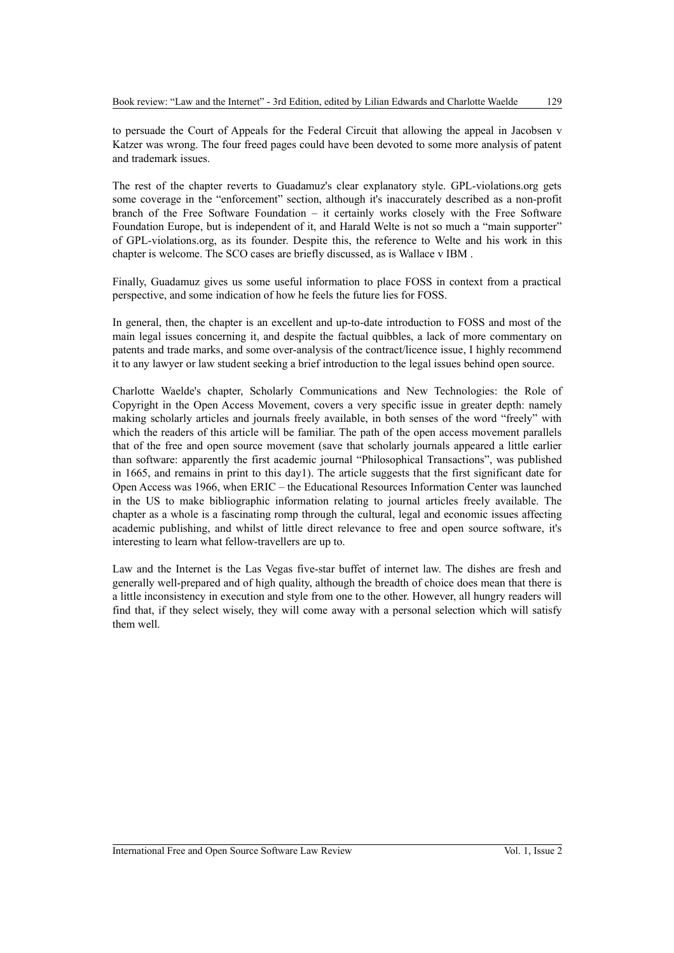to persuade the Court of Appeals for the Federal Circuit that allowing the appeal in Jacobsen v Katzer was wrong. The four freed pages could have been devoted to some more analysis of patent and trademark issues.

The rest of the chapter reverts to Guadamuz's clear explanatory style. GPL-violations.org gets some coverage in the "enforcement" section, although it's inaccurately described as a non-profit branch of the Free Software Foundation – it certainly works closely with the Free Software Foundation Europe, but is independent of it, and Harald Welte is not so much a "main supporter" of GPL-violations.org, as its founder. Despite this, the reference to Welte and his work in this chapter is welcome. The SCO cases are briefly discussed, as is Wallace v IBM .

Finally, Guadamuz gives us some useful information to place FOSS in context from a practical perspective, and some indication of how he feels the future lies for FOSS.

In general, then, the chapter is an excellent and up-to-date introduction to FOSS and most of the main legal issues concerning it, and despite the factual quibbles, a lack of more commentary on patents and trade marks, and some over-analysis of the contract/licence issue, I highly recommend it to any lawyer or law student seeking a brief introduction to the legal issues behind open source.

Charlotte Waelde's chapter, Scholarly Communications and New Technologies: the Role of Copyright in the Open Access Movement, covers a very specific issue in greater depth: namely making scholarly articles and journals freely available, in both senses of the word "freely" with which the readers of this article will be familiar. The path of the open access movement parallels that of the free and open source movement (save that scholarly journals appeared a little earlier than software: apparently the first academic journal "Philosophical Transactions", was published in 1665, and remains in print to this day1). The article suggests that the first significant date for Open Access was 1966, when ERIC – the Educational Resources Information Center was launched in the US to make bibliographic information relating to journal articles freely available. The chapter as a whole is a fascinating romp through the cultural, legal and economic issues affecting academic publishing, and whilst of little direct relevance to free and open source software, it's interesting to learn what fellow-travellers are up to.

Law and the Internet is the Las Vegas five-star buffet of internet law. The dishes are fresh and generally well-prepared and of high quality, although the breadth of choice does mean that there is a little inconsistency in execution and style from one to the other. However, all hungry readers will find that, if they select wisely, they will come away with a personal selection which will satisfy them well.